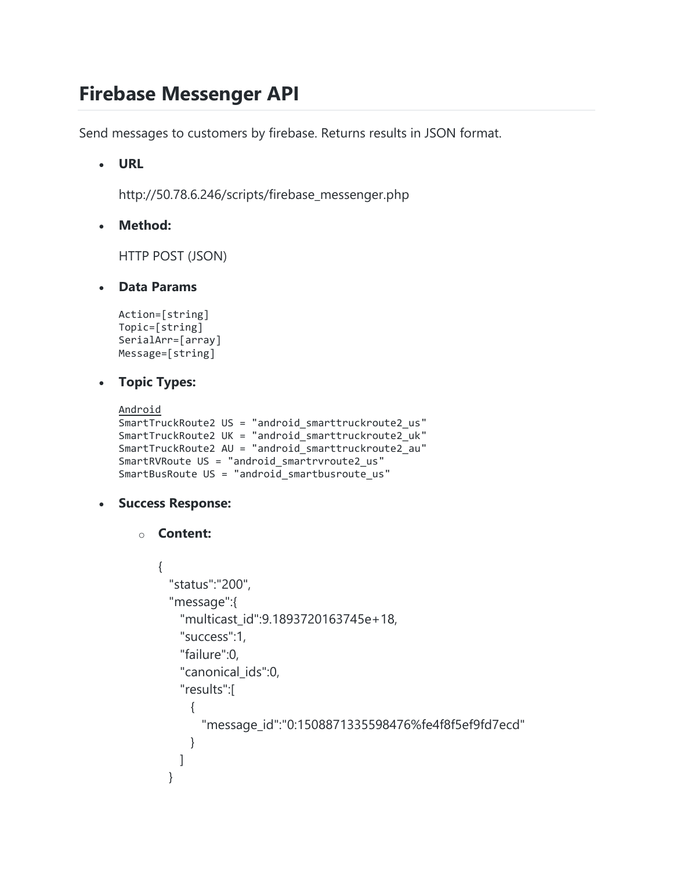# **Firebase Messenger API**

Send messages to customers by firebase. Returns results in JSON format.

**URL**

http://50.78.6.246/scripts/firebase\_messenger.php

**Method:**

HTTP POST (JSON)

**Data Params**

```
Action=[string]
Topic=[string]
SerialArr=[array]
Message=[string]
```
### **Topic Types:**

```
Android
SmartTruckRoute2 US = "android_smarttruckroute2_us"
SmartTruckRoute2 UK = "android_smarttruckroute2_uk"
SmartTruckRoute2 AU = "android_smarttruckroute2_au"
SmartRVRoute US = "android smartrvroute2 us"
SmartBusRoute US = "android_smartbusroute_us"
```
#### **Success Response:**

```
o Content:
```

```
{
   "status":"200",
   "message":{
     "multicast_id":9.1893720163745e+18,
     "success":1,
     "failure":0,
    "canonical ids":0,
     "results":[
      {
         "message_id":"0:1508871335598476%fe4f8f5ef9fd7ecd"
      }
    ]
  }
```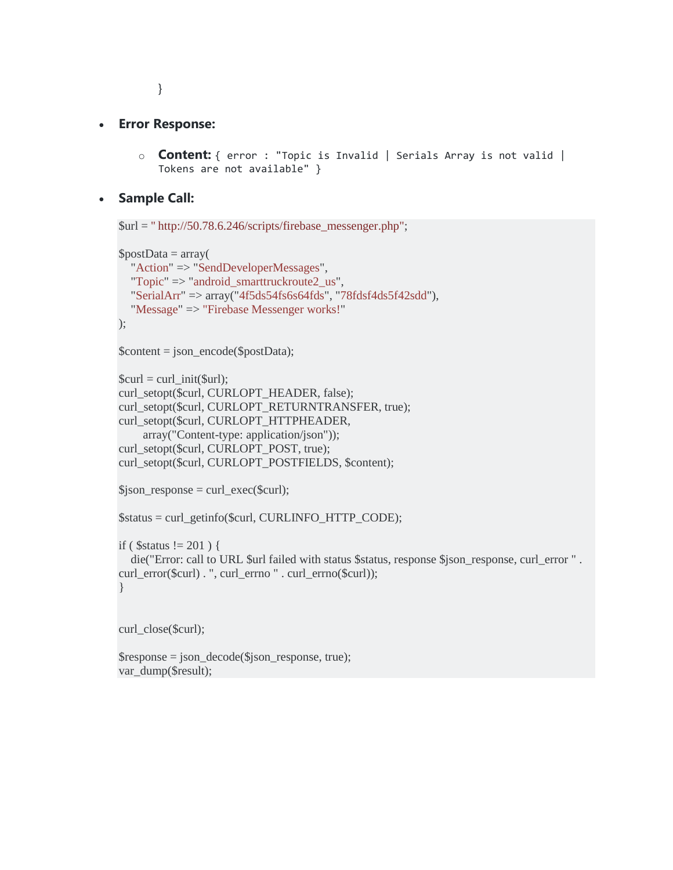}

#### **Error Response:**

o **Content:** { error : "Topic is Invalid | Serials Array is not valid | Tokens are not available" }

#### **Sample Call:**

 $$url = "http://50.78.6.246/scripts/firebase_messenger.php";$ 

```
$postData = array( "Action" => "SendDeveloperMessages",
   "Topic" => "android_smarttruckroute2_us",
   "SerialArr" => array("4f5ds54fs6s64fds", "78fdsf4ds5f42sdd"),
   "Message" => "Firebase Messenger works!"
);
```

```
\text{Content} = \text{ison} \cdot \text{encode}(\text{SpostData});
```

```
$curl = curl \; init(Surl);curl_setopt($curl, CURLOPT_HEADER, false);
curl_setopt($curl, CURLOPT_RETURNTRANSFER, true);
curl_setopt($curl, CURLOPT_HTTPHEADER,
     array("Content-type: application/json"));
curl_setopt($curl, CURLOPT_POST, true);
curl_setopt($curl, CURLOPT_POSTFIELDS, $content);
```

```
$json response = curl exec($curl);
```

```
$status = curl_getinfo($curl, CURLINFO_HTTP_CODE);
```

```
if ( $status != 201 ) {
```

```
 die("Error: call to URL $url failed with status $status, response $json_response, curl_error " . 
curl_error($curl) . ", curl_errno " . curl_errno($curl));
```

```
}
```
curl\_close(\$curl);

```
$response = json_decode($json_response, true);
var_dump($result);
```